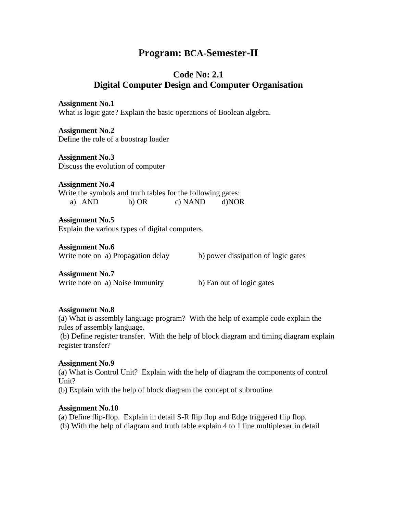# **Program: BCA-Semester-II**

## **Code No: 2.1 Digital Computer Design and Computer Organisation**

**Assignment No.1** What is logic gate? Explain the basic operations of Boolean algebra.

**Assignment No.2** Define the role of a boostrap loader

**Assignment No.3** Discuss the evolution of computer

**Assignment No.4** Write the symbols and truth tables for the following gates: a) AND b) OR c) NAND d)NOR

**Assignment No.5** Explain the various types of digital computers.

**Assignment No.6**

Write note on a) Propagation delay b) power dissipation of logic gates

**Assignment No.7** Write note on a) Noise Immunity b) Fan out of logic gates

## **Assignment No.8**

(a) What is assembly language program? With the help of example code explain the rules of assembly language.

(b) Define register transfer. With the help of block diagram and timing diagram explain register transfer?

## **Assignment No.9**

(a) What is Control Unit? Explain with the help of diagram the components of control Unit?

(b) Explain with the help of block diagram the concept of subroutine.

## **Assignment No.10**

(a) Define flip-flop. Explain in detail S-R flip flop and Edge triggered flip flop. (b) With the help of diagram and truth table explain 4 to 1 line multiplexer in detail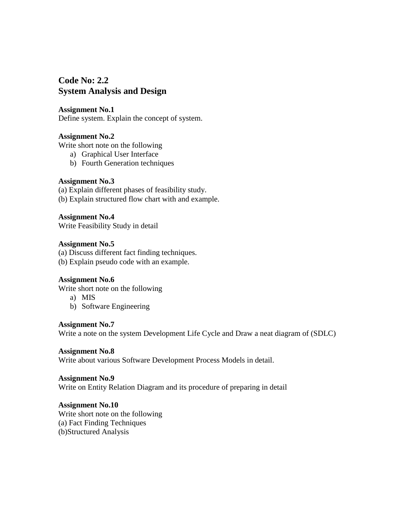## **Code No: 2.2 System Analysis and Design**

### **Assignment No.1**

Define system. Explain the concept of system.

## **Assignment No.2**

Write short note on the following

- a) Graphical User Interface
- b) Fourth Generation techniques

## **Assignment No.3**

(a) Explain different phases of feasibility study.

(b) Explain structured flow chart with and example.

**Assignment No.4** Write Feasibility Study in detail

## **Assignment No.5**

(a) Discuss different fact finding techniques. (b) Explain pseudo code with an example.

## **Assignment No.6**

Write short note on the following

a) MIS

b) Software Engineering

## **Assignment No.7**

Write a note on the system Development Life Cycle and Draw a neat diagram of (SDLC)

## **Assignment No.8**

Write about various Software Development Process Models in detail.

## **Assignment No.9**

Write on Entity Relation Diagram and its procedure of preparing in detail

## **Assignment No.10**

Write short note on the following (a) Fact Finding Techniques (b)Structured Analysis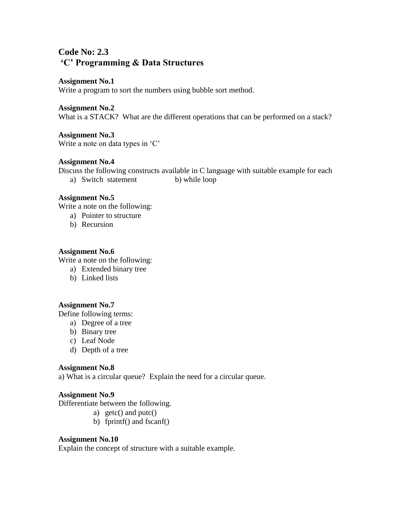# **Code No: 2.3 'C' Programming & Data Structures**

#### **Assignment No.1**

Write a program to sort the numbers using bubble sort method.

#### **Assignment No.2**

What is a STACK? What are the different operations that can be performed on a stack?

**Assignment No.3** Write a note on data types in 'C'

#### **Assignment No.4**

Discuss the following constructs available in C language with suitable example for each a) Switch statement b) while loop

#### **Assignment No.5**

Write a note on the following:

- a) Pointer to structure
- b) Recursion

#### **Assignment No.6**

Write a note on the following:

- a) Extended binary tree
- b) Linked lists

## **Assignment No.7**

Define following terms:

- a) Degree of a tree
- b) Binary tree
- c) Leaf Node
- d) Depth of a tree

#### **Assignment No.8**

a) What is a circular queue? Explain the need for a circular queue.

## **Assignment No.9**

Differentiate between the following.

- a) getc() and putc()
- b) fprintf() and fscanf()

## **Assignment No.10**

Explain the concept of structure with a suitable example.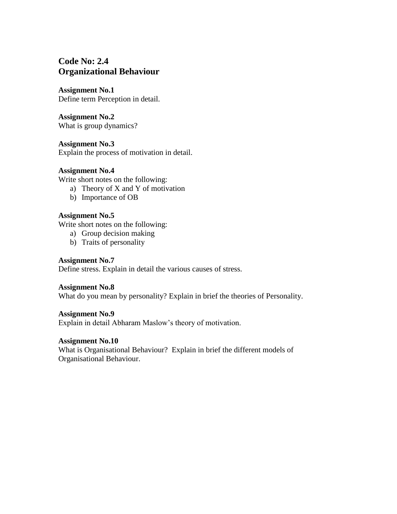# **Code No: 2.4 Organizational Behaviour**

**Assignment No.1** Define term Perception in detail.

**Assignment No.2** What is group dynamics?

**Assignment No.3** Explain the process of motivation in detail.

## **Assignment No.4**

Write short notes on the following:

- a) Theory of X and Y of motivation
- b) Importance of OB

## **Assignment No.5**

Write short notes on the following:

- a) Group decision making
- b) Traits of personality

## **Assignment No.7**

Define stress. Explain in detail the various causes of stress.

## **Assignment No.8**

What do you mean by personality? Explain in brief the theories of Personality.

#### **Assignment No.9**

Explain in detail Abharam Maslow's theory of motivation.

## **Assignment No.10**

What is Organisational Behaviour? Explain in brief the different models of Organisational Behaviour.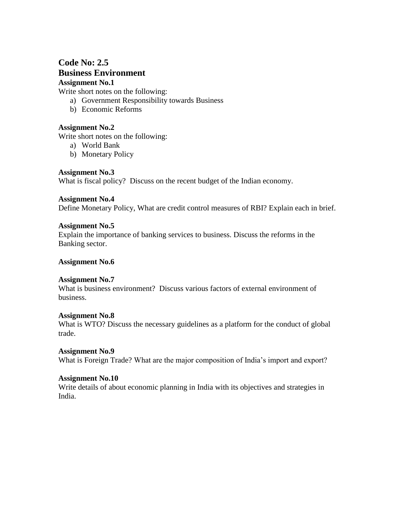## **Code No: 2.5 Business Environment Assignment No.1**

Write short notes on the following:

- a) Government Responsibility towards Business
- b) Economic Reforms

## **Assignment No.2**

Write short notes on the following:

- a) World Bank
- b) Monetary Policy

## **Assignment No.3**

What is fiscal policy? Discuss on the recent budget of the Indian economy.

## **Assignment No.4**

Define Monetary Policy, What are credit control measures of RBI? Explain each in brief.

## **Assignment No.5**

Explain the importance of banking services to business. Discuss the reforms in the Banking sector.

## **Assignment No.6**

## **Assignment No.7**

What is business environment? Discuss various factors of external environment of business.

## **Assignment No.8**

What is WTO? Discuss the necessary guidelines as a platform for the conduct of global trade.

## **Assignment No.9**

What is Foreign Trade? What are the major composition of India's import and export?

## **Assignment No.10**

Write details of about economic planning in India with its objectives and strategies in India.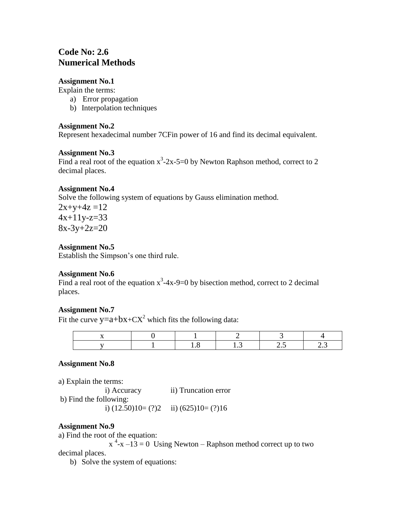# **Code No: 2.6 Numerical Methods**

## **Assignment No.1**

Explain the terms:

- a) Error propagation
- b) Interpolation techniques

## **Assignment No.2**

Represent hexadecimal number 7CFin power of 16 and find its decimal equivalent.

## **Assignment No.3**

Find a real root of the equation  $x^3$ -2x-5=0 by Newton Raphson method, correct to 2 decimal places.

## **Assignment No.4**

Solve the following system of equations by Gauss elimination method.

 $2x+y+4z=12$  $4x+11y-z=33$  $8x-3y+2z=20$ 

## **Assignment No.5**

Establish the Simpson's one third rule.

## **Assignment No.6**

Find a real root of the equation  $x^3$ -4x-9=0 by bisection method, correct to 2 decimal places.

## **Assignment No.7**

Fit the curve  $y=a+bx+CX^2$  which fits the following data:

## **Assignment No.8**

a) Explain the terms:

 i) Accuracy ii) Truncation error b) Find the following: i)  $(12.50)10 = (?)2$  ii)  $(625)10 = (?)16$ 

## **Assignment No.9**

a) Find the root of the equation:

 $x^4$ - $x - 13 = 0$  Using Newton – Raphson method correct up to two decimal places.

b) Solve the system of equations: